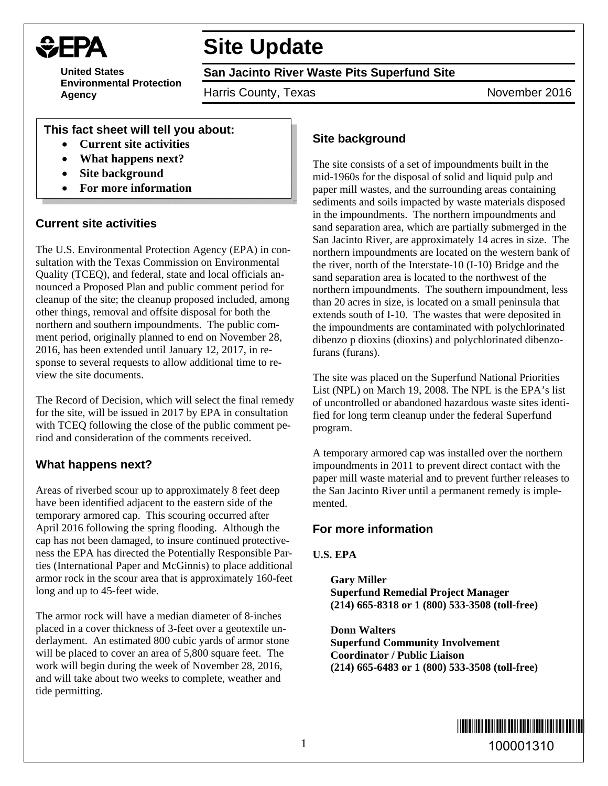

# **Site Update**

**United States Environmental Protection Agency** 

**San Jacinto River Waste Pits Superfund Site** 

Harris County, Texas November 2016

### **This fact sheet will tell you about:**

- **Current site activities**
- **What happens next?**
- **Site background**
- **For more information**

## **Current site activities**

The U.S. Environmental Protection Agency (EPA) in consultation with the Texas Commission on Environmental Quality (TCEQ), and federal, state and local officials announced a Proposed Plan and public comment period for cleanup of the site; the cleanup proposed included, among other things, removal and offsite disposal for both the northern and southern impoundments. The public comment period, originally planned to end on November 28, 2016, has been extended until January 12, 2017, in response to several requests to allow additional time to review the site documents.

The Record of Decision, which will select the final remedy for the site, will be issued in 2017 by EPA in consultation with TCEQ following the close of the public comment period and consideration of the comments received.

## **What happens next?**

Areas of riverbed scour up to approximately 8 feet deep have been identified adjacent to the eastern side of the temporary armored cap. This scouring occurred after April 2016 following the spring flooding. Although the cap has not been damaged, to insure continued protectiveness the EPA has directed the Potentially Responsible Parties (International Paper and McGinnis) to place additional armor rock in the scour area that is approximately 160-feet long and up to 45-feet wide.

The armor rock will have a median diameter of 8-inches placed in a cover thickness of 3-feet over a geotextile underlayment. An estimated 800 cubic yards of armor stone will be placed to cover an area of 5,800 square feet. The work will begin during the week of November 28, 2016, and will take about two weeks to complete, weather and tide permitting.

# **Site background**

The site consists of a set of impoundments built in the mid-1960s for the disposal of solid and liquid pulp and paper mill wastes, and the surrounding areas containing sediments and soils impacted by waste materials disposed in the impoundments. The northern impoundments and sand separation area, which are partially submerged in the San Jacinto River, are approximately 14 acres in size. The northern impoundments are located on the western bank of the river, north of the Interstate-10 (I-10) Bridge and the sand separation area is located to the northwest of the northern impoundments. The southern impoundment, less than 20 acres in size, is located on a small peninsula that extends south of I-10. The wastes that were deposited in the impoundments are contaminated with polychlorinated dibenzo p dioxins (dioxins) and polychlorinated dibenzofurans (furans).

The site was placed on the Superfund National Priorities List (NPL) on March 19, 2008. The NPL is the EPA's list of uncontrolled or abandoned hazardous waste sites identified for long term cleanup under the federal Superfund program.

A temporary armored cap was installed over the northern impoundments in 2011 to prevent direct contact with the paper mill waste material and to prevent further releases to the San Jacinto River until a permanent remedy is implemented.

#### **For more information**

#### **U.S. EPA**

**Gary Miller Superfund Remedial Project Manager (214) 665-8318 or 1 (800) 533-3508 (toll-free)** 

**Donn Walters Superfund Community Involvement Coordinator / Public Liaison (214) 665-6483 or 1 (800) 533-3508 (toll-free)**